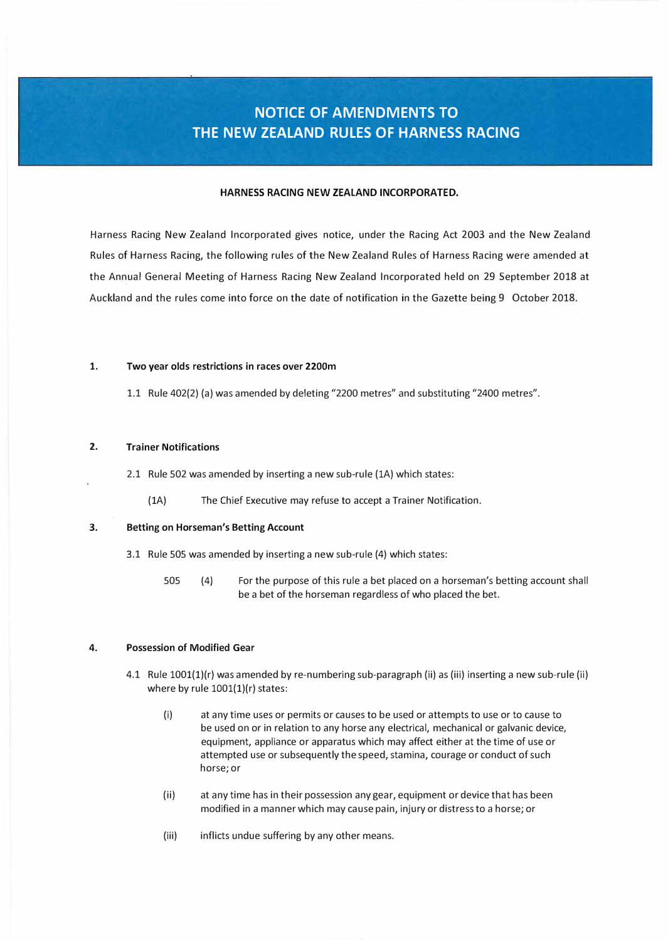# **NOTICE OF AMENDMENTS TO THE NEW ZEALAND RULES OF HARNESS RACING**

# **HARNESS RACING NEW ZEALAND INCORPORATED.**

Harness Racing New Zealand Incorporated gives notice, under the Racing Act 2003 and the New Zealand Rules of Harness Racing, the following rules of the New Zealand Rules of Harness Racing were amended at the Annual General Meeting of Harness Racing New Zealand Incorporated held on 29 September 2018 at Auckland and the rules come into force on the date of notification in the Gazette being 9 October 2018.

### **1. Two year olds restrictions in races over 2200m**

1.1 Rule 402{2) (a) was amended by deleting "2200 metres" and substituting "2400 metres".

# **2. Trainer Notifications**

2.1 Rule 502 was amended by inserting a new sub-rule {lA) which states:

(lA) The Chief Executive may refuse to accept a Trainer Notification.

### **3. Betting on Horseman's Betting Account**

- 3.1 Rule 505 was amended by inserting a new sub-rule (4) which states:
	- 505 (4) For the purpose of this rule a bet placed on a horseman's betting account shall be a bet of the horseman regardless of who placed the bet.

## **4. Possession of Modified Gear**

- 4.1 Rule 1001(1)(r) was amended by re-numbering sub-paragraph (ii) as (iii) inserting a new sub-rule (ii) where by rule  $1001(1)(r)$  states:
	- (i) at any time uses or permits or causes to be used or attempts to use or to cause to be used on or in relation to any horse any electrical, mechanical or galvanic device, equipment, appliance or apparatus which may affect either at the time of use or attempted use or subsequently the speed, stamina, courage or conduct of such horse; or
	- (ii) at any time has in their possession any gear, equipment or device that has been modified in a manner which may cause pain, injury or distress to a horse; or
	- (iii) inflicts undue suffering by any other means.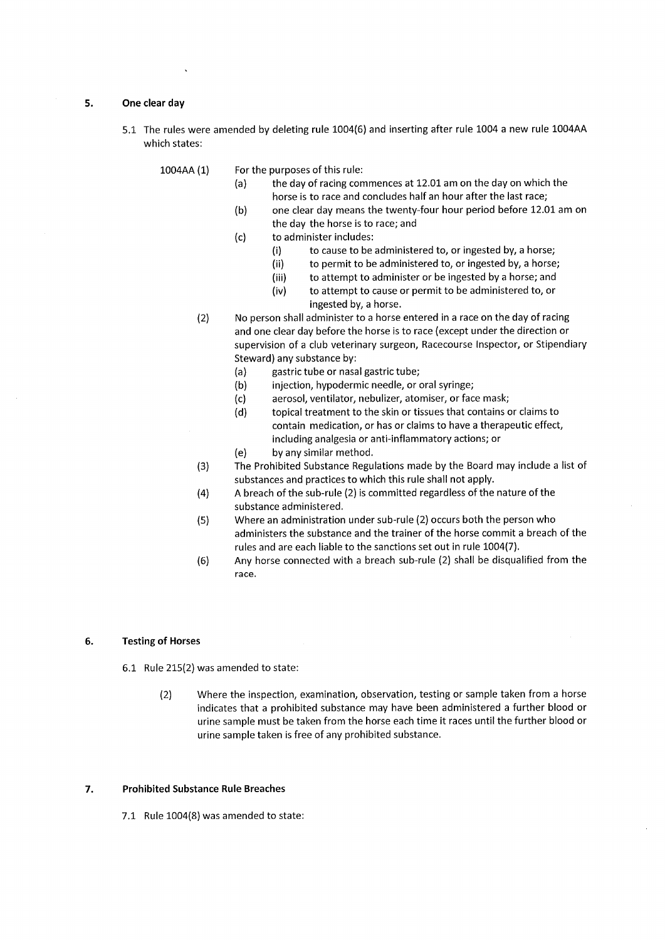### One clear day 5.

5.1 The rules were amended by deleting rule 1004(6) and inserting after rule 1004 a new rule 1004AA which states:

1004AA (1) For the purposes of this rule:

- the day of racing commences at 12.01 am on the day on which the  $(a)$ horse is to race and concludes half an hour after the last race;
- $(b)$ one clear day means the twenty-four hour period before 12.01 am on the day the horse is to race; and
- $(c)$ to administer includes:
	- $(i)$ to cause to be administered to, or ingested by, a horse;
	- $(ii)$ to permit to be administered to, or ingested by, a horse;
	- to attempt to administer or be ingested by a horse; and  $(iii)$
	- to attempt to cause or permit to be administered to, or  $(iv)$ ingested by, a horse.
- No person shall administer to a horse entered in a race on the day of racing  $(2)$ and one clear day before the horse is to race (except under the direction or supervision of a club veterinary surgeon, Racecourse Inspector, or Stipendiary Steward) any substance by:
	- gastric tube or nasal gastric tube;  $(a)$
	- $(b)$ injection, hypodermic needle, or oral syringe;
	- $(c)$ aerosol, ventilator, nebulizer, atomiser, or face mask;
	- $(d)$ topical treatment to the skin or tissues that contains or claims to contain medication, or has or claims to have a therapeutic effect, including analgesia or anti-inflammatory actions; or
	- by any similar method.  $(e)$
- The Prohibited Substance Regulations made by the Board may include a list of  $(3)$ substances and practices to which this rule shall not apply.
- $(4)$ A breach of the sub-rule (2) is committed regardless of the nature of the substance administered.
- Where an administration under sub-rule (2) occurs both the person who  $(5)$ administers the substance and the trainer of the horse commit a breach of the rules and are each liable to the sanctions set out in rule 1004(7).
- $(6)$ Any horse connected with a breach sub-rule (2) shall be disqualified from the race.

#### 6. **Testing of Horses**

- 6.1 Rule 215(2) was amended to state:
	- $(2)$ Where the inspection, examination, observation, testing or sample taken from a horse indicates that a prohibited substance may have been administered a further blood or urine sample must be taken from the horse each time it races until the further blood or urine sample taken is free of any prohibited substance.

### $\overline{7}$ . **Prohibited Substance Rule Breaches**

7.1 Rule 1004(8) was amended to state: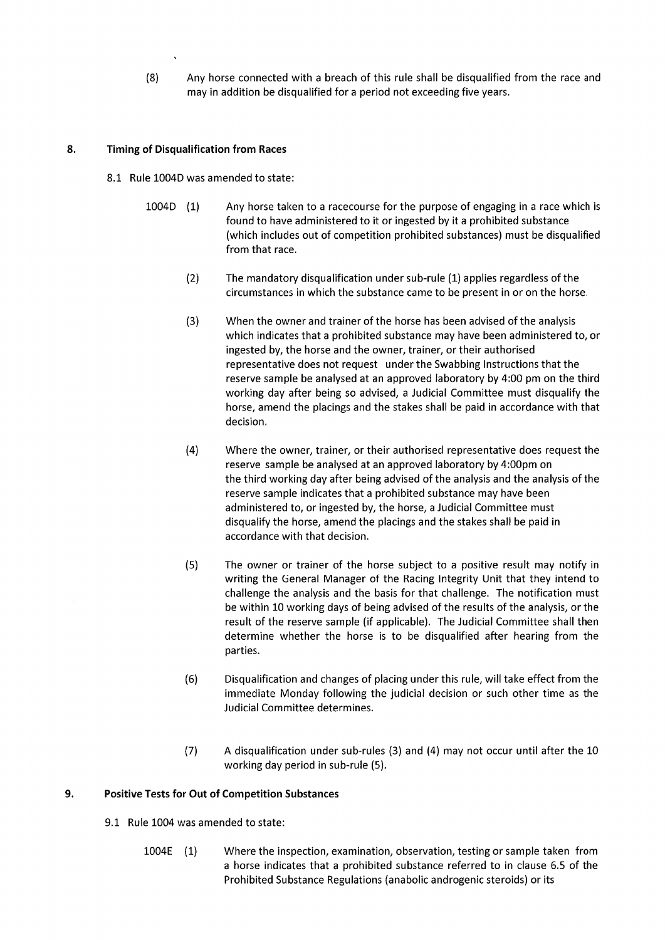$(8)$ Any horse connected with a breach of this rule shall be disqualified from the race and may in addition be disqualified for a period not exceeding five years.

### 8. **Timing of Disqualification from Races**

- 8.1 Rule 1004D was amended to state:
	- $1004D$  (1) Any horse taken to a racecourse for the purpose of engaging in a race which is found to have administered to it or ingested by it a prohibited substance (which includes out of competition prohibited substances) must be disqualified from that race.
		- $(2)$ The mandatory disqualification under sub-rule (1) applies regardless of the circumstances in which the substance came to be present in or on the horse.
		- When the owner and trainer of the horse has been advised of the analysis  $(3)$ which indicates that a prohibited substance may have been administered to, or ingested by, the horse and the owner, trainer, or their authorised representative does not request under the Swabbing Instructions that the reserve sample be analysed at an approved laboratory by 4:00 pm on the third working day after being so advised, a Judicial Committee must disqualify the horse, amend the placings and the stakes shall be paid in accordance with that decision.
		- $(4)$ Where the owner, trainer, or their authorised representative does request the reserve sample be analysed at an approved laboratory by 4:00pm on the third working day after being advised of the analysis and the analysis of the reserve sample indicates that a prohibited substance may have been administered to, or ingested by, the horse, a Judicial Committee must disqualify the horse, amend the placings and the stakes shall be paid in accordance with that decision.
		- $(5)$ The owner or trainer of the horse subject to a positive result may notify in writing the General Manager of the Racing Integrity Unit that they intend to challenge the analysis and the basis for that challenge. The notification must be within 10 working days of being advised of the results of the analysis, or the result of the reserve sample (if applicable). The Judicial Committee shall then determine whether the horse is to be disqualified after hearing from the parties.
		- $(6)$ Disqualification and changes of placing under this rule, will take effect from the immediate Monday following the judicial decision or such other time as the Judicial Committee determines.
		- $(7)$ A disqualification under sub-rules (3) and (4) may not occur until after the 10 working day period in sub-rule (5).

### 9. **Positive Tests for Out of Competition Substances**

- 9.1 Rule 1004 was amended to state:
	- $1004E$  (1) Where the inspection, examination, observation, testing or sample taken from a horse indicates that a prohibited substance referred to in clause 6.5 of the Prohibited Substance Regulations (anabolic androgenic steroids) or its